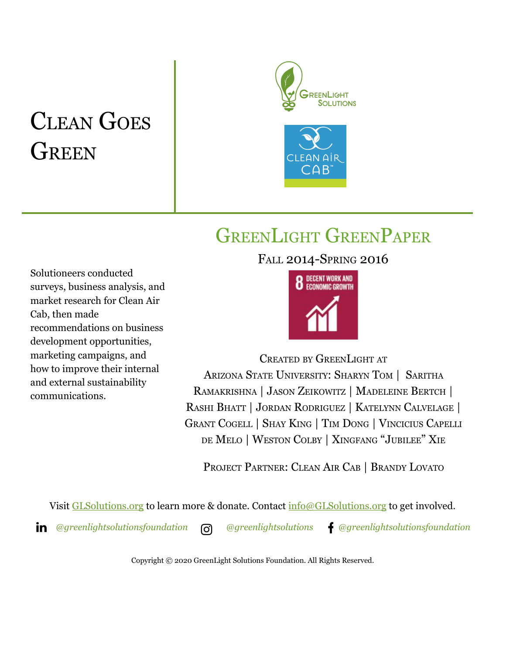# CLEAN GOES **GREEN**





# GREENLIGHT GREENPAPER

FALL 2014-SPRING 2016

Solutioneers conducted surveys, business analysis, and market research for Clean Air Cab, then made recommendations on business development opportunities, marketing campaigns, and how to improve their internal and external sustainability communications.



CREATED BY GREENLIGHT AT ARIZONA STATE UNIVERSITY: SHARYN TOM | SARITHA RAMAKRISHNA | JASON ZEIKOWITZ | MADELEINE BERTCH | RASHI BHATT | JORDAN RODRIGUEZ | KATELYNN CALVELAGE | GRANT COGELL | SHAY KING | TIM DONG | VINCICIUS CAPELLI DE MELO | WESTON COLBY | XINGFANG "JUBILEE" XIE

PROJECT PARTNER: CLEAN AIR CAB | BRANDY LOVATO

Visit [GLSolutions.org](https://www.glsolutions.org/) to learn more & donate. Contact  $\frac{info@GLSolutions.org}{info@GLSolutions.org}$  to get involved.

*[@greenlightsolutionsfoundation](https://www.linkedin.com/company/10571635) [@greenlightsolutions](https://www.instagram.com/greenlightsolutions/) [@greenlightsolutionsfoundation](https://www.facebook.com/GreenLightSolutionsFoundation/)*

Copyright © 2020 GreenLight Solutions Foundation. All Rights Reserved.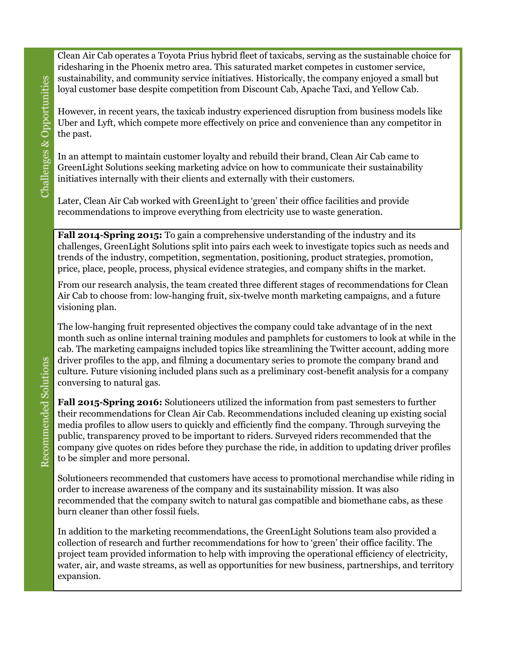Clean Air Cab operates a Toyota Prius hybrid fleet of taxicabs, serving as the sustainable choice for ridesharing in the Phoenix metro area. This saturated market competes in customer service, sustainability, and community service initiatives. Historically, the company enjoyed a small but loyal customer base despite competition from Discount Cab, Apache Taxi, and Yellow Cab.

However, in recent years, the taxicab industry experienced disruption from business models like Uber and Lyft, which compete more effectively on price and convenience than any competitor in the past.

In an attempt to maintain customer loyalty and rebuild their brand, Clean Air Cab came to GreenLight Solutions seeking marketing advice on how to communicate their sustainability initiatives internally with their clients and externally with their customers.

Later, Clean Air Cab worked with GreenLight to 'green' their office facilities and provide recommendations to improve everything from electricity use to waste generation.

**Fall 2014-Spring 2015:** To gain a comprehensive understanding of the industry and its challenges, GreenLight Solutions split into pairs each week to investigate topics such as needs and trends of the industry, competition, segmentation, positioning, product strategies, promotion, price, place, people, process, physical evidence strategies, and company shifts in the market.

From our research analysis, the team created three different stages of recommendations for Clean Air Cab to choose from: low-hanging fruit, six-twelve month marketing campaigns, and a future visioning plan.

The low-hanging fruit represented objectives the company could take advantage of in the next month such as online internal training modules and pamphlets for customers to look at while in the cab. The marketing campaigns included topics like streamlining the Twitter account, adding more driver profiles to the app, and filming a documentary series to promote the company brand and culture. Future visioning included plans such as a preliminary cost-benefit analysis for a company conversing to natural gas.

**Fall 2015-Spring 2016:** Solutioneers utilized the information from past semesters to further their recommendations for Clean Air Cab. Recommendations included cleaning up existing social media profiles to allow users to quickly and efficiently find the company. Through surveying the public, transparency proved to be important to riders. Surveyed riders recommended that the company give quotes on rides before they purchase the ride, in addition to updating driver profiles to be simpler and more personal.

Solutioneers recommended that customers have access to promotional merchandise while riding in order to increase awareness of the company and its sustainability mission. It was also recommended that the company switch to natural gas compatible and biomethane cabs, as these burn cleaner than other fossil fuels.

In addition to the marketing recommendations, the GreenLight Solutions team also provided a collection of research and further recommendations for how to 'green' their office facility. The project team provided information to help with improving the operational efficiency of electricity, water, air, and waste streams, as well as opportunities for new business, partnerships, and territory expansion.